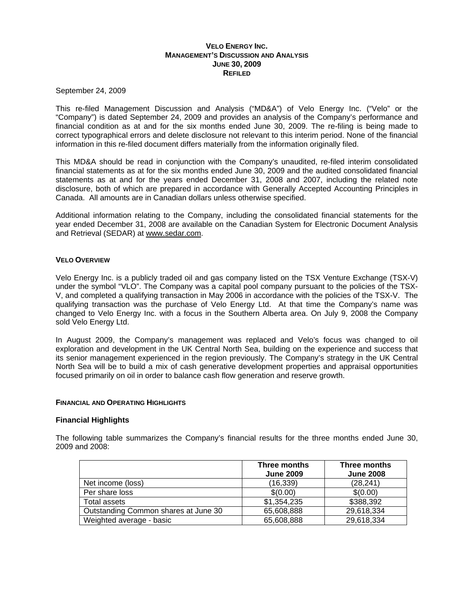## **VELO ENERGY INC. MANAGEMENT'S DISCUSSION AND ANALYSIS JUNE 30, 2009 REFILED**

September 24, 2009

This re-filed Management Discussion and Analysis ("MD&A") of Velo Energy Inc. ("Velo" or the "Company") is dated September 24, 2009 and provides an analysis of the Company's performance and financial condition as at and for the six months ended June 30, 2009. The re-filing is being made to correct typographical errors and delete disclosure not relevant to this interim period. None of the financial information in this re-filed document differs materially from the information originally filed.

This MD&A should be read in conjunction with the Company's unaudited, re-filed interim consolidated financial statements as at for the six months ended June 30, 2009 and the audited consolidated financial statements as at and for the years ended December 31, 2008 and 2007, including the related note disclosure, both of which are prepared in accordance with Generally Accepted Accounting Principles in Canada. All amounts are in Canadian dollars unless otherwise specified.

Additional information relating to the Company, including the consolidated financial statements for the year ended December 31, 2008 are available on the Canadian System for Electronic Document Analysis and Retrieval (SEDAR) at [www.sedar.com.](http://www.sedar.com/)

## **VELO OVERVIEW**

Velo Energy Inc. is a publicly traded oil and gas company listed on the TSX Venture Exchange (TSX-V) under the symbol "VLO". The Company was a capital pool company pursuant to the policies of the TSX-V, and completed a qualifying transaction in May 2006 in accordance with the policies of the TSX-V. The qualifying transaction was the purchase of Velo Energy Ltd. At that time the Company's name was changed to Velo Energy Inc. with a focus in the Southern Alberta area. On July 9, 2008 the Company sold Velo Energy Ltd.

In August 2009, the Company's management was replaced and Velo's focus was changed to oil exploration and development in the UK Central North Sea, building on the experience and success that its senior management experienced in the region previously. The Company's strategy in the UK Central North Sea will be to build a mix of cash generative development properties and appraisal opportunities focused primarily on oil in order to balance cash flow generation and reserve growth.

#### **FINANCIAL AND OPERATING HIGHLIGHTS**

#### **Financial Highlights**

The following table summarizes the Company's financial results for the three months ended June 30, 2009 and 2008:

|                                      | Three months     | Three months     |  |
|--------------------------------------|------------------|------------------|--|
|                                      | <b>June 2009</b> | <b>June 2008</b> |  |
| Net income (loss)                    | (16, 339)        | (28, 241)        |  |
| Per share loss                       | \$(0.00)         | \$(0.00)         |  |
| Total assets                         | \$1,354,235      | \$388,392        |  |
| Outstanding Common shares at June 30 | 65,608,888       | 29,618,334       |  |
| Weighted average - basic             | 65,608,888       | 29,618,334       |  |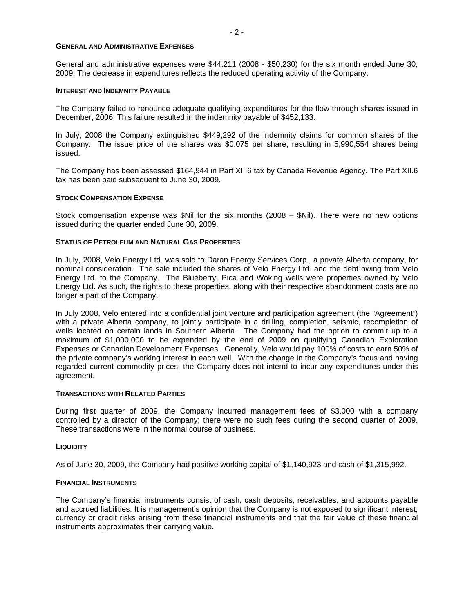#### **GENERAL AND ADMINISTRATIVE EXPENSES**

General and administrative expenses were \$44,211 (2008 - \$50,230) for the six month ended June 30, 2009. The decrease in expenditures reflects the reduced operating activity of the Company.

#### **INTEREST AND INDEMNITY PAYABLE**

The Company failed to renounce adequate qualifying expenditures for the flow through shares issued in December, 2006. This failure resulted in the indemnity payable of \$452,133.

In July, 2008 the Company extinguished \$449,292 of the indemnity claims for common shares of the Company. The issue price of the shares was \$0.075 per share, resulting in 5,990,554 shares being issued.

The Company has been assessed \$164,944 in Part XII.6 tax by Canada Revenue Agency. The Part XII.6 tax has been paid subsequent to June 30, 2009.

#### **STOCK COMPENSATION EXPENSE**

Stock compensation expense was \$Nil for the six months (2008 – \$Nil). There were no new options issued during the quarter ended June 30, 2009.

### **STATUS OF PETROLEUM AND NATURAL GAS PROPERTIES**

In July, 2008, Velo Energy Ltd. was sold to Daran Energy Services Corp., a private Alberta company, for nominal consideration. The sale included the shares of Velo Energy Ltd. and the debt owing from Velo Energy Ltd. to the Company. The Blueberry, Pica and Woking wells were properties owned by Velo Energy Ltd. As such, the rights to these properties, along with their respective abandonment costs are no longer a part of the Company.

In July 2008, Velo entered into a confidential joint venture and participation agreement (the "Agreement") with a private Alberta company, to jointly participate in a drilling, completion, seismic, recompletion of wells located on certain lands in Southern Alberta. The Company had the option to commit up to a maximum of \$1,000,000 to be expended by the end of 2009 on qualifying Canadian Exploration Expenses or Canadian Development Expenses. Generally, Velo would pay 100% of costs to earn 50% of the private company's working interest in each well. With the change in the Company's focus and having regarded current commodity prices, the Company does not intend to incur any expenditures under this agreement.

### **TRANSACTIONS WITH RELATED PARTIES**

During first quarter of 2009, the Company incurred management fees of \$3,000 with a company controlled by a director of the Company; there were no such fees during the second quarter of 2009. These transactions were in the normal course of business.

## **LIQUIDITY**

As of June 30, 2009, the Company had positive working capital of \$1,140,923 and cash of \$1,315,992.

#### **FINANCIAL INSTRUMENTS**

The Company's financial instruments consist of cash, cash deposits, receivables, and accounts payable and accrued liabilities. It is management's opinion that the Company is not exposed to significant interest, currency or credit risks arising from these financial instruments and that the fair value of these financial instruments approximates their carrying value.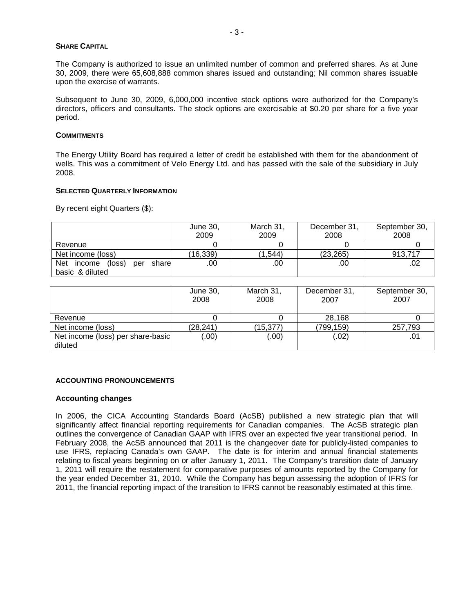#### **SHARE CAPITAL**

The Company is authorized to issue an unlimited number of common and preferred shares. As at June 30, 2009, there were 65,608,888 common shares issued and outstanding; Nil common shares issuable upon the exercise of warrants.

Subsequent to June 30, 2009, 6,000,000 incentive stock options were authorized for the Company's directors, officers and consultants. The stock options are exercisable at \$0.20 per share for a five year period.

## **COMMITMENTS**

The Energy Utility Board has required a letter of credit be established with them for the abandonment of wells. This was a commitment of Velo Energy Ltd. and has passed with the sale of the subsidiary in July 2008.

## **SELECTED QUARTERLY INFORMATION**

By recent eight Quarters (\$):

|                                             | June 30,<br>2009 | March 31,<br>2009 | December 31,<br>2008 | September 30,<br>2008 |
|---------------------------------------------|------------------|-------------------|----------------------|-----------------------|
| Revenue                                     |                  |                   |                      |                       |
| Net income (loss)                           | (16, 339)        | (1,544)           | (23, 265)            | 913.717               |
| <b>Net</b><br>income (loss)<br>share<br>per | .00              | .00               | .00                  |                       |
| basic & diluted                             |                  |                   |                      |                       |

|                                   | June 30,<br>2008 | March 31,<br>2008 | December 31,<br>2007 | September 30,<br>2007 |
|-----------------------------------|------------------|-------------------|----------------------|-----------------------|
| Revenue                           |                  |                   | 28,168               |                       |
| Net income (loss)                 | (28,241)         | (15,377)          | (799,159)            | 257,793               |
| Net income (loss) per share-basic | (00)             | (.00)             | (.02)                | .01                   |
| diluted                           |                  |                   |                      |                       |

## **ACCOUNTING PRONOUNCEMENTS**

#### **Accounting changes**

In 2006, the CICA Accounting Standards Board (AcSB) published a new strategic plan that will significantly affect financial reporting requirements for Canadian companies. The AcSB strategic plan outlines the convergence of Canadian GAAP with IFRS over an expected five year transitional period. In February 2008, the AcSB announced that 2011 is the changeover date for publicly-listed companies to use IFRS, replacing Canada's own GAAP. The date is for interim and annual financial statements relating to fiscal years beginning on or after January 1, 2011. The Company's transition date of January 1, 2011 will require the restatement for comparative purposes of amounts reported by the Company for the year ended December 31, 2010. While the Company has begun assessing the adoption of IFRS for 2011, the financial reporting impact of the transition to IFRS cannot be reasonably estimated at this time.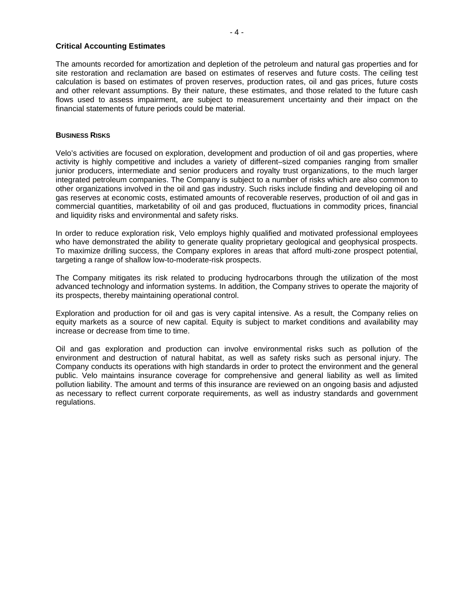## **Critical Accounting Estimates**

The amounts recorded for amortization and depletion of the petroleum and natural gas properties and for site restoration and reclamation are based on estimates of reserves and future costs. The ceiling test calculation is based on estimates of proven reserves, production rates, oil and gas prices, future costs and other relevant assumptions. By their nature, these estimates, and those related to the future cash flows used to assess impairment, are subject to measurement uncertainty and their impact on the financial statements of future periods could be material.

## **BUSINESS RISKS**

Velo's activities are focused on exploration, development and production of oil and gas properties, where activity is highly competitive and includes a variety of different–sized companies ranging from smaller junior producers, intermediate and senior producers and royalty trust organizations, to the much larger integrated petroleum companies. The Company is subject to a number of risks which are also common to other organizations involved in the oil and gas industry. Such risks include finding and developing oil and gas reserves at economic costs, estimated amounts of recoverable reserves, production of oil and gas in commercial quantities, marketability of oil and gas produced, fluctuations in commodity prices, financial and liquidity risks and environmental and safety risks.

In order to reduce exploration risk, Velo employs highly qualified and motivated professional employees who have demonstrated the ability to generate quality proprietary geological and geophysical prospects. To maximize drilling success, the Company explores in areas that afford multi-zone prospect potential, targeting a range of shallow low-to-moderate-risk prospects.

The Company mitigates its risk related to producing hydrocarbons through the utilization of the most advanced technology and information systems. In addition, the Company strives to operate the majority of its prospects, thereby maintaining operational control.

Exploration and production for oil and gas is very capital intensive. As a result, the Company relies on equity markets as a source of new capital. Equity is subject to market conditions and availability may increase or decrease from time to time.

Oil and gas exploration and production can involve environmental risks such as pollution of the environment and destruction of natural habitat, as well as safety risks such as personal injury. The Company conducts its operations with high standards in order to protect the environment and the general public. Velo maintains insurance coverage for comprehensive and general liability as well as limited pollution liability. The amount and terms of this insurance are reviewed on an ongoing basis and adjusted as necessary to reflect current corporate requirements, as well as industry standards and government regulations.